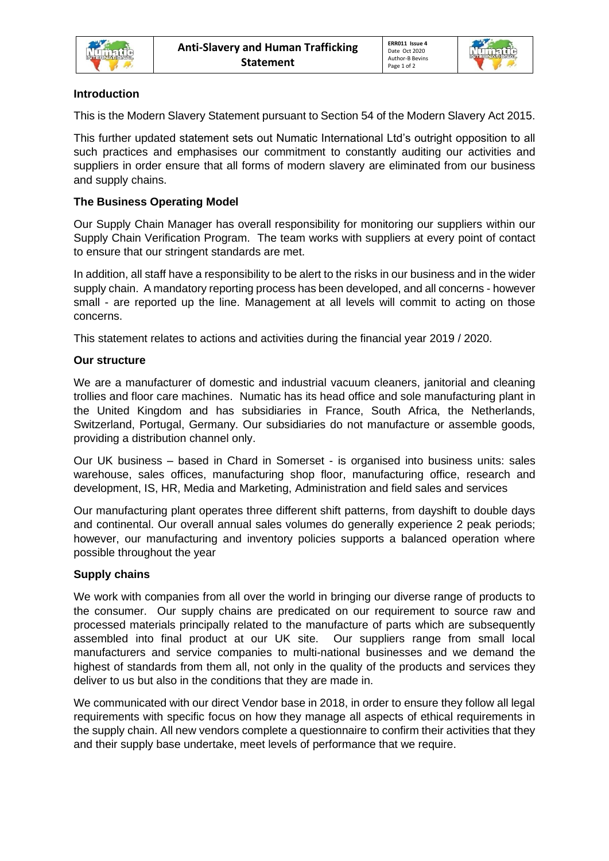



# **Introduction**

This is the Modern Slavery Statement pursuant to Section 54 of the Modern Slavery Act 2015.

This further updated statement sets out Numatic International Ltd's outright opposition to all such practices and emphasises our commitment to constantly auditing our activities and suppliers in order ensure that all forms of modern slavery are eliminated from our business and supply chains.

# **The Business Operating Model**

Our Supply Chain Manager has overall responsibility for monitoring our suppliers within our Supply Chain Verification Program. The team works with suppliers at every point of contact to ensure that our stringent standards are met.

In addition, all staff have a responsibility to be alert to the risks in our business and in the wider supply chain. A mandatory reporting process has been developed, and all concerns - however small - are reported up the line. Management at all levels will commit to acting on those concerns.

This statement relates to actions and activities during the financial year 2019 / 2020.

### **Our structure**

We are a manufacturer of domestic and industrial vacuum cleaners, janitorial and cleaning trollies and floor care machines. Numatic has its head office and sole manufacturing plant in the United Kingdom and has subsidiaries in France, South Africa, the Netherlands, Switzerland, Portugal, Germany. Our subsidiaries do not manufacture or assemble goods, providing a distribution channel only.

Our UK business – based in Chard in Somerset - is organised into business units: sales warehouse, sales offices, manufacturing shop floor, manufacturing office, research and development, IS, HR, Media and Marketing, Administration and field sales and services

Our manufacturing plant operates three different shift patterns, from dayshift to double days and continental. Our overall annual sales volumes do generally experience 2 peak periods; however, our manufacturing and inventory policies supports a balanced operation where possible throughout the year

## **Supply chains**

We work with companies from all over the world in bringing our diverse range of products to the consumer. Our supply chains are predicated on our requirement to source raw and processed materials principally related to the manufacture of parts which are subsequently assembled into final product at our UK site. Our suppliers range from small local manufacturers and service companies to multi-national businesses and we demand the highest of standards from them all, not only in the quality of the products and services they deliver to us but also in the conditions that they are made in.

We communicated with our direct Vendor base in 2018, in order to ensure they follow all legal requirements with specific focus on how they manage all aspects of ethical requirements in the supply chain. All new vendors complete a questionnaire to confirm their activities that they and their supply base undertake, meet levels of performance that we require.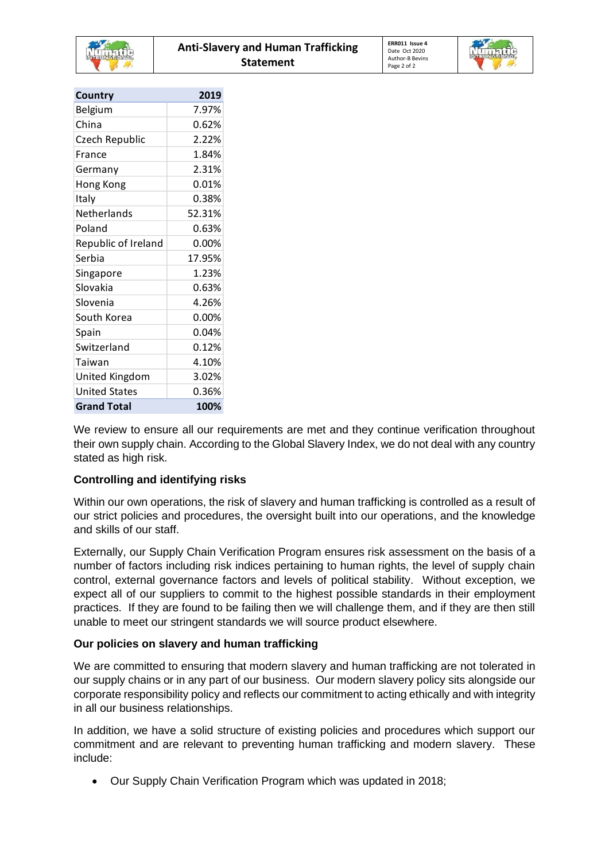| $\frac{1}{2}$ |  |
|---------------|--|
|               |  |



| <b>Country</b>        | 2019     |
|-----------------------|----------|
| Belgium               | 7.97%    |
| China                 | 0.62%    |
| Czech Republic        | 2.22%    |
| France                | 1.84%    |
| Germany               | 2.31%    |
| Hong Kong             | 0.01%    |
| Italy                 | 0.38%    |
| Netherlands           | 52.31%   |
| Poland                | 0.63%    |
| Republic of Ireland   | $0.00\%$ |
| Serbia                | 17.95%   |
| Singapore             | 1.23%    |
| Slovakia              | 0.63%    |
| Slovenia              | 4.26%    |
| South Korea           | $0.00\%$ |
| Spain                 | 0.04%    |
| Switzerland           | 0.12%    |
| Taiwan                | 4.10%    |
| <b>United Kingdom</b> | 3.02%    |
| <b>United States</b>  | 0.36%    |
| <b>Grand Total</b>    | 100%     |

We review to ensure all our requirements are met and they continue verification throughout their own supply chain. According to the Global Slavery Index, we do not deal with any country stated as high risk.

# **Controlling and identifying risks**

Within our own operations, the risk of slavery and human trafficking is controlled as a result of our strict policies and procedures, the oversight built into our operations, and the knowledge and skills of our staff.

Externally, our Supply Chain Verification Program ensures risk assessment on the basis of a number of factors including risk indices pertaining to human rights, the level of supply chain control, external governance factors and levels of political stability. Without exception, we expect all of our suppliers to commit to the highest possible standards in their employment practices. If they are found to be failing then we will challenge them, and if they are then still unable to meet our stringent standards we will source product elsewhere.

## **Our policies on slavery and human trafficking**

We are committed to ensuring that modern slavery and human trafficking are not tolerated in our supply chains or in any part of our business. Our modern slavery policy sits alongside our corporate responsibility policy and reflects our commitment to acting ethically and with integrity in all our business relationships.

In addition, we have a solid structure of existing policies and procedures which support our commitment and are relevant to preventing human trafficking and modern slavery. These include:

• Our Supply Chain Verification Program which was updated in 2018;